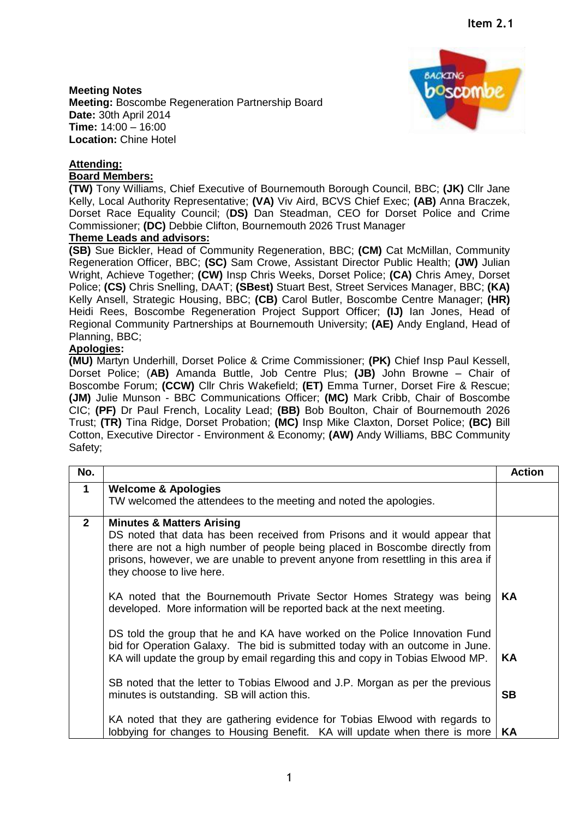**Meeting Notes Meeting:** Boscombe Regeneration Partnership Board **Date:** 30th April 2014 **Time:** 14:00 – 16:00 **Location:** Chine Hotel

## **Attending:**

## **Board Members:**

**(TW)** Tony Williams, Chief Executive of Bournemouth Borough Council, BBC; **(JK)** Cllr Jane Kelly, Local Authority Representative; **(VA)** Viv Aird, BCVS Chief Exec; **(AB)** Anna Braczek, Dorset Race Equality Council; (**DS)** Dan Steadman, CEO for Dorset Police and Crime Commissioner; **(DC)** Debbie Clifton, Bournemouth 2026 Trust Manager

## **Theme Leads and advisors:**

**(SB)** Sue Bickler, Head of Community Regeneration, BBC; **(CM)** Cat McMillan, Community Regeneration Officer, BBC; **(SC)** Sam Crowe, Assistant Director Public Health; **(JW)** Julian Wright, Achieve Together; **(CW)** Insp Chris Weeks, Dorset Police; **(CA)** Chris Amey, Dorset Police; **(CS)** Chris Snelling, DAAT; **(SBest)** Stuart Best, Street Services Manager, BBC; **(KA)** Kelly Ansell, Strategic Housing, BBC; **(CB)** Carol Butler, Boscombe Centre Manager; **(HR)** Heidi Rees, Boscombe Regeneration Project Support Officer; **(IJ)** Ian Jones, Head of Regional Community Partnerships at Bournemouth University; **(AE)** Andy England, Head of Planning, BBC;

## **Apologies:**

**(MU)** Martyn Underhill, Dorset Police & Crime Commissioner; **(PK)** Chief Insp Paul Kessell, Dorset Police; (**AB)** Amanda Buttle, Job Centre Plus; **(JB)** John Browne – Chair of Boscombe Forum; **(CCW)** Cllr Chris Wakefield; **(ET)** Emma Turner, Dorset Fire & Rescue; **(JM)** Julie Munson - BBC Communications Officer; **(MC)** Mark Cribb, Chair of Boscombe CIC; **(PF)** Dr Paul French, Locality Lead; **(BB)** Bob Boulton, Chair of Bournemouth 2026 Trust; **(TR)** Tina Ridge, Dorset Probation; **(MC)** Insp Mike Claxton, Dorset Police; **(BC)** Bill Cotton, Executive Director - Environment & Economy; **(AW)** Andy Williams, BBC Community Safety;

| No.          |                                                                                                                                                                                                                                                                                                                      | <b>Action</b> |
|--------------|----------------------------------------------------------------------------------------------------------------------------------------------------------------------------------------------------------------------------------------------------------------------------------------------------------------------|---------------|
| $\mathbf 1$  | <b>Welcome &amp; Apologies</b>                                                                                                                                                                                                                                                                                       |               |
|              | TW welcomed the attendees to the meeting and noted the apologies.                                                                                                                                                                                                                                                    |               |
| $\mathbf{2}$ | <b>Minutes &amp; Matters Arising</b><br>DS noted that data has been received from Prisons and it would appear that<br>there are not a high number of people being placed in Boscombe directly from<br>prisons, however, we are unable to prevent anyone from resettling in this area if<br>they choose to live here. |               |
|              | KA noted that the Bournemouth Private Sector Homes Strategy was being<br>developed. More information will be reported back at the next meeting.                                                                                                                                                                      | KA            |
|              | DS told the group that he and KA have worked on the Police Innovation Fund<br>bid for Operation Galaxy. The bid is submitted today with an outcome in June.<br>KA will update the group by email regarding this and copy in Tobias Elwood MP.                                                                        | <b>KA</b>     |
|              | SB noted that the letter to Tobias Elwood and J.P. Morgan as per the previous<br>minutes is outstanding. SB will action this.                                                                                                                                                                                        | <b>SB</b>     |
|              | KA noted that they are gathering evidence for Tobias Elwood with regards to<br>lobbying for changes to Housing Benefit. KA will update when there is more                                                                                                                                                            | KA            |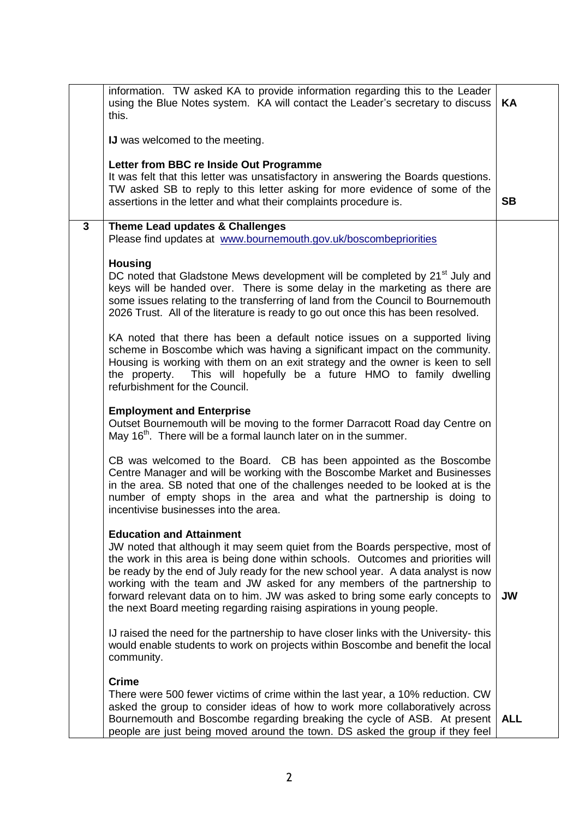|              | information. TW asked KA to provide information regarding this to the Leader<br>using the Blue Notes system. KA will contact the Leader's secretary to discuss<br>this.                                                                                                                                                                                                                                                                                                                                                        | KА         |
|--------------|--------------------------------------------------------------------------------------------------------------------------------------------------------------------------------------------------------------------------------------------------------------------------------------------------------------------------------------------------------------------------------------------------------------------------------------------------------------------------------------------------------------------------------|------------|
|              | <b>IJ</b> was welcomed to the meeting.                                                                                                                                                                                                                                                                                                                                                                                                                                                                                         |            |
|              | Letter from BBC re Inside Out Programme<br>It was felt that this letter was unsatisfactory in answering the Boards questions.<br>TW asked SB to reply to this letter asking for more evidence of some of the<br>assertions in the letter and what their complaints procedure is.                                                                                                                                                                                                                                               | <b>SB</b>  |
| $\mathbf{3}$ | Theme Lead updates & Challenges<br>Please find updates at www.bournemouth.gov.uk/boscombepriorities                                                                                                                                                                                                                                                                                                                                                                                                                            |            |
|              | <b>Housing</b><br>DC noted that Gladstone Mews development will be completed by 21 <sup>st</sup> July and<br>keys will be handed over. There is some delay in the marketing as there are<br>some issues relating to the transferring of land from the Council to Bournemouth<br>2026 Trust. All of the literature is ready to go out once this has been resolved.                                                                                                                                                              |            |
|              | KA noted that there has been a default notice issues on a supported living<br>scheme in Boscombe which was having a significant impact on the community.<br>Housing is working with them on an exit strategy and the owner is keen to sell<br>This will hopefully be a future HMO to family dwelling<br>the property.<br>refurbishment for the Council.                                                                                                                                                                        |            |
|              | <b>Employment and Enterprise</b><br>Outset Bournemouth will be moving to the former Darracott Road day Centre on<br>May 16 <sup>th</sup> . There will be a formal launch later on in the summer.                                                                                                                                                                                                                                                                                                                               |            |
|              | CB was welcomed to the Board. CB has been appointed as the Boscombe<br>Centre Manager and will be working with the Boscombe Market and Businesses<br>in the area. SB noted that one of the challenges needed to be looked at is the<br>number of empty shops in the area and what the partnership is doing to<br>incentivise businesses into the area.                                                                                                                                                                         |            |
|              | <b>Education and Attainment</b><br>JW noted that although it may seem quiet from the Boards perspective, most of<br>the work in this area is being done within schools. Outcomes and priorities will<br>be ready by the end of July ready for the new school year. A data analyst is now<br>working with the team and JW asked for any members of the partnership to<br>forward relevant data on to him. JW was asked to bring some early concepts to<br>the next Board meeting regarding raising aspirations in young people. | <b>JW</b>  |
|              | IJ raised the need for the partnership to have closer links with the University-this<br>would enable students to work on projects within Boscombe and benefit the local<br>community.                                                                                                                                                                                                                                                                                                                                          |            |
|              | <b>Crime</b><br>There were 500 fewer victims of crime within the last year, a 10% reduction. CW<br>asked the group to consider ideas of how to work more collaboratively across<br>Bournemouth and Boscombe regarding breaking the cycle of ASB. At present<br>people are just being moved around the town. DS asked the group if they feel                                                                                                                                                                                    | <b>ALL</b> |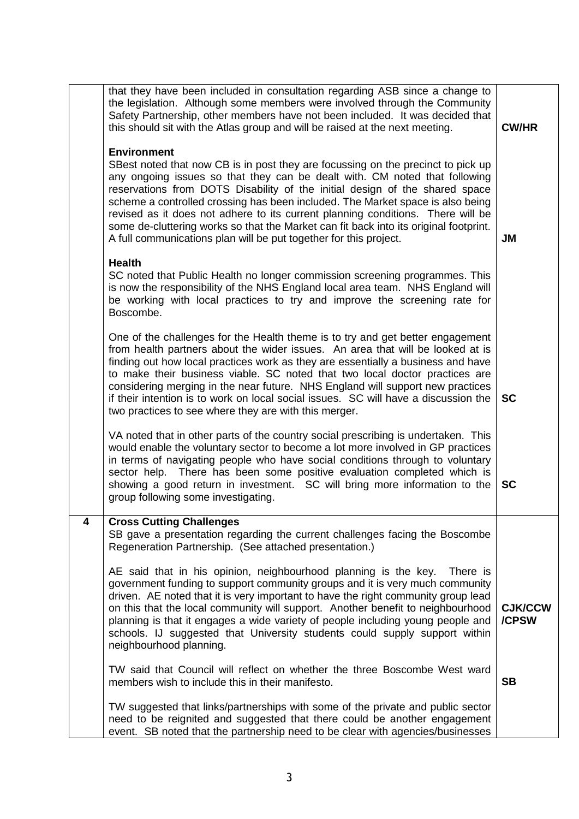|   | that they have been included in consultation regarding ASB since a change to<br>the legislation. Although some members were involved through the Community<br>Safety Partnership, other members have not been included. It was decided that<br>this should sit with the Atlas group and will be raised at the next meeting.<br><b>Environment</b><br>SBest noted that now CB is in post they are focussing on the precinct to pick up<br>any ongoing issues so that they can be dealt with. CM noted that following<br>reservations from DOTS Disability of the initial design of the shared space<br>scheme a controlled crossing has been included. The Market space is also being<br>revised as it does not adhere to its current planning conditions. There will be<br>some de-cluttering works so that the Market can fit back into its original footprint.<br>A full communications plan will be put together for this project. | <b>CW/HR</b><br><b>JM</b> |
|---|---------------------------------------------------------------------------------------------------------------------------------------------------------------------------------------------------------------------------------------------------------------------------------------------------------------------------------------------------------------------------------------------------------------------------------------------------------------------------------------------------------------------------------------------------------------------------------------------------------------------------------------------------------------------------------------------------------------------------------------------------------------------------------------------------------------------------------------------------------------------------------------------------------------------------------------|---------------------------|
|   | <b>Health</b><br>SC noted that Public Health no longer commission screening programmes. This<br>is now the responsibility of the NHS England local area team. NHS England will<br>be working with local practices to try and improve the screening rate for<br>Boscombe.                                                                                                                                                                                                                                                                                                                                                                                                                                                                                                                                                                                                                                                              |                           |
|   | One of the challenges for the Health theme is to try and get better engagement<br>from health partners about the wider issues. An area that will be looked at is<br>finding out how local practices work as they are essentially a business and have<br>to make their business viable. SC noted that two local doctor practices are<br>considering merging in the near future. NHS England will support new practices<br>if their intention is to work on local social issues. SC will have a discussion the<br>two practices to see where they are with this merger.                                                                                                                                                                                                                                                                                                                                                                 | <b>SC</b>                 |
|   | VA noted that in other parts of the country social prescribing is undertaken. This<br>would enable the voluntary sector to become a lot more involved in GP practices<br>in terms of navigating people who have social conditions through to voluntary<br>sector help. There has been some positive evaluation completed which is<br>showing a good return in investment. SC will bring more information to the<br>group following some investigating.                                                                                                                                                                                                                                                                                                                                                                                                                                                                                | <b>SC</b>                 |
| 4 | <b>Cross Cutting Challenges</b><br>SB gave a presentation regarding the current challenges facing the Boscombe<br>Regeneration Partnership. (See attached presentation.)                                                                                                                                                                                                                                                                                                                                                                                                                                                                                                                                                                                                                                                                                                                                                              |                           |
|   | AE said that in his opinion, neighbourhood planning is the key.<br>There is<br>government funding to support community groups and it is very much community<br>driven. AE noted that it is very important to have the right community group lead<br>on this that the local community will support. Another benefit to neighbourhood<br>planning is that it engages a wide variety of people including young people and<br>schools. IJ suggested that University students could supply support within<br>neighbourhood planning.                                                                                                                                                                                                                                                                                                                                                                                                       | <b>CJK/CCW</b><br>/CPSW   |
|   | TW said that Council will reflect on whether the three Boscombe West ward<br>members wish to include this in their manifesto.                                                                                                                                                                                                                                                                                                                                                                                                                                                                                                                                                                                                                                                                                                                                                                                                         | <b>SB</b>                 |
|   | TW suggested that links/partnerships with some of the private and public sector<br>need to be reignited and suggested that there could be another engagement<br>event. SB noted that the partnership need to be clear with agencies/businesses                                                                                                                                                                                                                                                                                                                                                                                                                                                                                                                                                                                                                                                                                        |                           |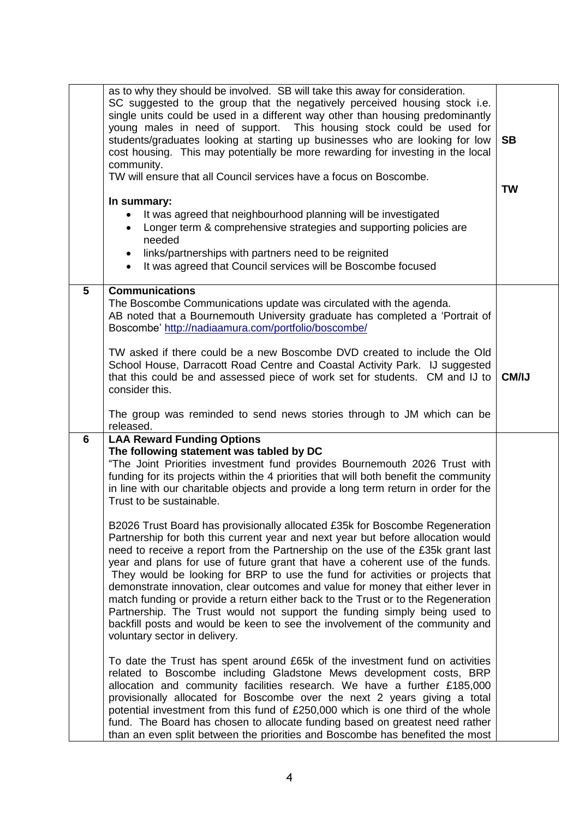| as to why they should be involved. SB will take this away for consideration.<br>SC suggested to the group that the negatively perceived housing stock i.e.<br>single units could be used in a different way other than housing predominantly<br>young males in need of support. This housing stock could be used for<br>students/graduates looking at starting up businesses who are looking for low<br>cost housing. This may potentially be more rewarding for investing in the local<br>community.<br>TW will ensure that all Council services have a focus on Boscombe.<br>In summary:<br>It was agreed that neighbourhood planning will be investigated<br>Longer term & comprehensive strategies and supporting policies are<br>$\bullet$                                                                    | <b>SB</b><br><b>TW</b> |
|--------------------------------------------------------------------------------------------------------------------------------------------------------------------------------------------------------------------------------------------------------------------------------------------------------------------------------------------------------------------------------------------------------------------------------------------------------------------------------------------------------------------------------------------------------------------------------------------------------------------------------------------------------------------------------------------------------------------------------------------------------------------------------------------------------------------|------------------------|
| needed<br>links/partnerships with partners need to be reignited<br>$\bullet$<br>It was agreed that Council services will be Boscombe focused<br>$\bullet$                                                                                                                                                                                                                                                                                                                                                                                                                                                                                                                                                                                                                                                          |                        |
| 5<br><b>Communications</b><br>The Boscombe Communications update was circulated with the agenda.<br>AB noted that a Bournemouth University graduate has completed a 'Portrait of<br>Boscombe' http://nadiaamura.com/portfolio/boscombe/                                                                                                                                                                                                                                                                                                                                                                                                                                                                                                                                                                            |                        |
| TW asked if there could be a new Boscombe DVD created to include the Old<br>School House, Darracott Road Centre and Coastal Activity Park. IJ suggested<br>that this could be and assessed piece of work set for students. CM and IJ to<br>consider this.<br>The group was reminded to send news stories through to JM which can be                                                                                                                                                                                                                                                                                                                                                                                                                                                                                | CM/IJ                  |
| released.<br><b>LAA Reward Funding Options</b><br>6<br>The following statement was tabled by DC<br>"The Joint Priorities investment fund provides Bournemouth 2026 Trust with<br>funding for its projects within the 4 priorities that will both benefit the community<br>in line with our charitable objects and provide a long term return in order for the<br>Trust to be sustainable.<br>B2026 Trust Board has provisionally allocated £35k for Boscombe Regeneration<br>Partnership for both this current year and next year but before allocation would<br>need to receive a report from the Partnership on the use of the £35k grant last<br>year and plans for use of future grant that have a coherent use of the funds.<br>They would be looking for BRP to use the fund for activities or projects that |                        |
| demonstrate innovation, clear outcomes and value for money that either lever in<br>match funding or provide a return either back to the Trust or to the Regeneration<br>Partnership. The Trust would not support the funding simply being used to<br>backfill posts and would be keen to see the involvement of the community and<br>voluntary sector in delivery.                                                                                                                                                                                                                                                                                                                                                                                                                                                 |                        |
| To date the Trust has spent around £65k of the investment fund on activities<br>related to Boscombe including Gladstone Mews development costs, BRP<br>allocation and community facilities research. We have a further £185,000<br>provisionally allocated for Boscombe over the next 2 years giving a total<br>potential investment from this fund of £250,000 which is one third of the whole<br>fund. The Board has chosen to allocate funding based on greatest need rather<br>than an even split between the priorities and Boscombe has benefited the most                                                                                                                                                                                                                                                   |                        |